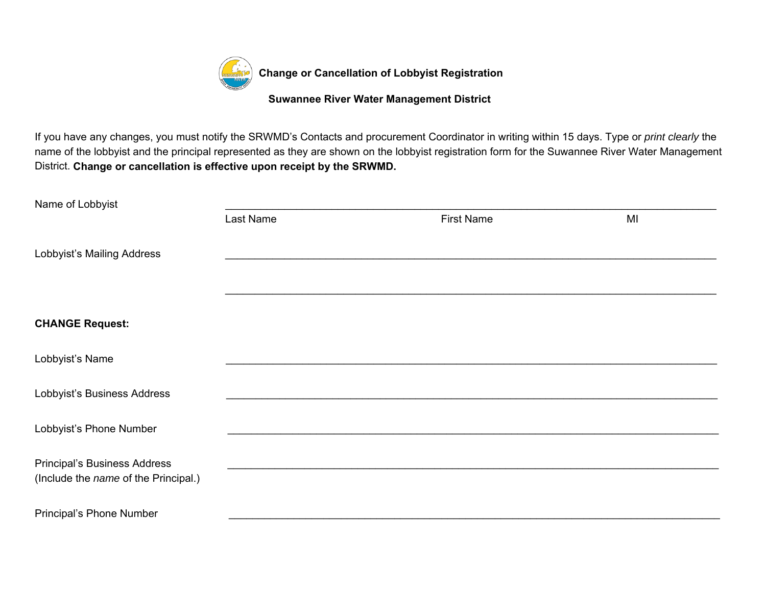

If you have any changes, you must notify the SRWMD's Contacts and procurement Coordinator in writing within 15 days. Type or *print clearly* the name of the lobbyist and the principal represented as they are shown on the lobbyist registration form for the Suwannee River Water Management District. **Change or cancellation is effective upon receipt by the SRWMD.**

| Name of Lobbyist                     |           |                   |    |
|--------------------------------------|-----------|-------------------|----|
|                                      | Last Name | <b>First Name</b> | MI |
| Lobbyist's Mailing Address           |           |                   |    |
|                                      |           |                   |    |
|                                      |           |                   |    |
| <b>CHANGE Request:</b>               |           |                   |    |
| Lobbyist's Name                      |           |                   |    |
| Lobbyist's Business Address          |           |                   |    |
| Lobbyist's Phone Number              |           |                   |    |
| <b>Principal's Business Address</b>  |           |                   |    |
| (Include the name of the Principal.) |           |                   |    |
| Principal's Phone Number             |           |                   |    |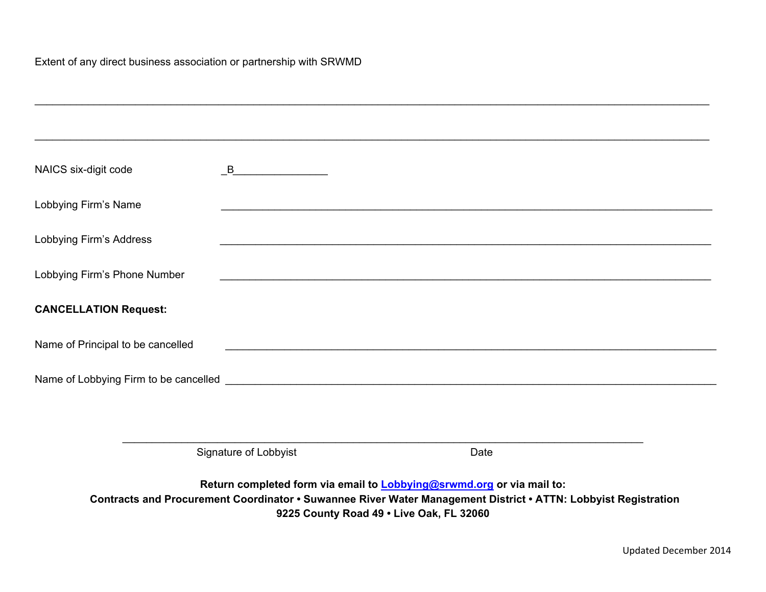| NAICS six-digit code              |                       |                                                                                                                       |  |  |
|-----------------------------------|-----------------------|-----------------------------------------------------------------------------------------------------------------------|--|--|
| Lobbying Firm's Name              |                       |                                                                                                                       |  |  |
|                                   |                       |                                                                                                                       |  |  |
| Lobbying Firm's Address           |                       | <u> 1989 - Johann Stoff, amerikan bestein de stad i stoff fan de ferskearre fan de ferskearre fan de ferskearre f</u> |  |  |
| Lobbying Firm's Phone Number      |                       |                                                                                                                       |  |  |
| <b>CANCELLATION Request:</b>      |                       |                                                                                                                       |  |  |
| Name of Principal to be cancelled |                       |                                                                                                                       |  |  |
|                                   |                       |                                                                                                                       |  |  |
|                                   |                       |                                                                                                                       |  |  |
|                                   |                       |                                                                                                                       |  |  |
|                                   | Signature of Lobbyist | Date                                                                                                                  |  |  |

**9225 County Road 49 • Live Oak, FL 32060**